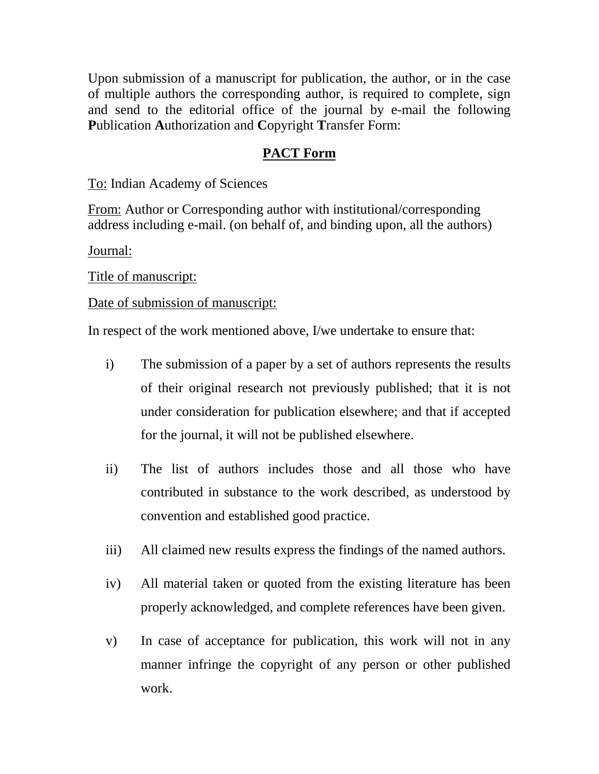Upon submission of a manuscript for publication, the author, or in the case of multiple authors the corresponding author, is required to complete, sign and send to the editorial office of the journal by e-mail the following **P**ublication **A**uthorization and **C**opyright **T**ransfer Form:

## **PACT Form**

To: Indian Academy of Sciences

From: Author or Corresponding author with institutional/corresponding address including e-mail. (on behalf of, and binding upon, all the authors)

Journal:

Title of manuscript:

Date of submission of manuscript:

In respect of the work mentioned above, I/we undertake to ensure that:

- i) The submission of a paper by a set of authors represents the results of their original research not previously published; that it is not under consideration for publication elsewhere; and that if accepted for the journal, it will not be published elsewhere.
- ii) The list of authors includes those and all those who have contributed in substance to the work described, as understood by convention and established good practice.
- iii) All claimed new results express the findings of the named authors.
- iv) All material taken or quoted from the existing literature has been properly acknowledged, and complete references have been given.
- v) In case of acceptance for publication, this work will not in any manner infringe the copyright of any person or other published work.